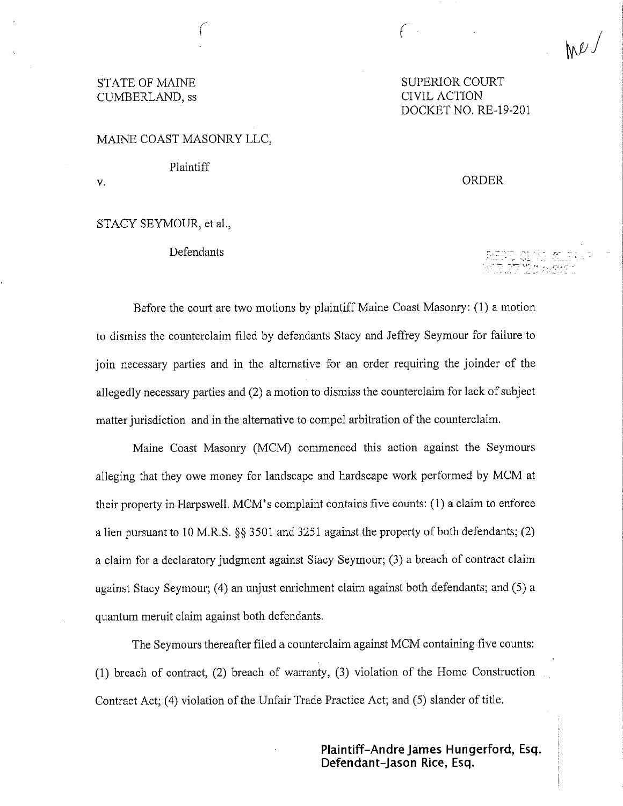# CUMBERLAND, ss

STATE OF MAINE SUPERIOR COURT DOCKET NO. RE-19-201

( me)

#### MAINE COAST MASONRY LLC,

Plaintiff

V.

#### STACY SEYMOUR, et al.,

## Defendants

## ORDER

Before the court are two motions by plaintiff Maine Coast Masonry: (1) a motion to dismiss the counterclaim filed by defendants Stacy and Jeffrey Seymour for failure to join necessary parties and in the alternative for an order requiring the joinder of the allegedly necessary parties and (2) a motion to dismiss the counterclaim for lack of subject matter jurisdiction and in the alternative to compel arbitration of the counterclaim.

Maine Coast Masonry (MCM) commenced this action against the Seymours alleging that they owe money for landscape and hardscape work performed by MCM at their property in Harpswell. MCM' s complaint contains five counts: (1) a claim to enforce a lien pursuant to 10 M.R.S. §§ 3501 and 3251 against the property of both defendants; (2) a claim for a declaratory judgment against Stacy Seymour; (3) a breach of contract claim against Stacy Seymour; (4) an unjust enrichment claim against both defendants; and (5) a quantum meruit claim against both defendants.

The Seymours thereafter filed a counterclaim against MCM containing five counts: (1) breach of contract, (2) breach of warranty, (3) violation of the Home Construction Contract Act; (4) violation of the Unfair Trade Practice Act; and (5) slander of title.

> **Plaintiff-Andre James Hungerford, Esq. Defendant-Jason Rice, Esq.**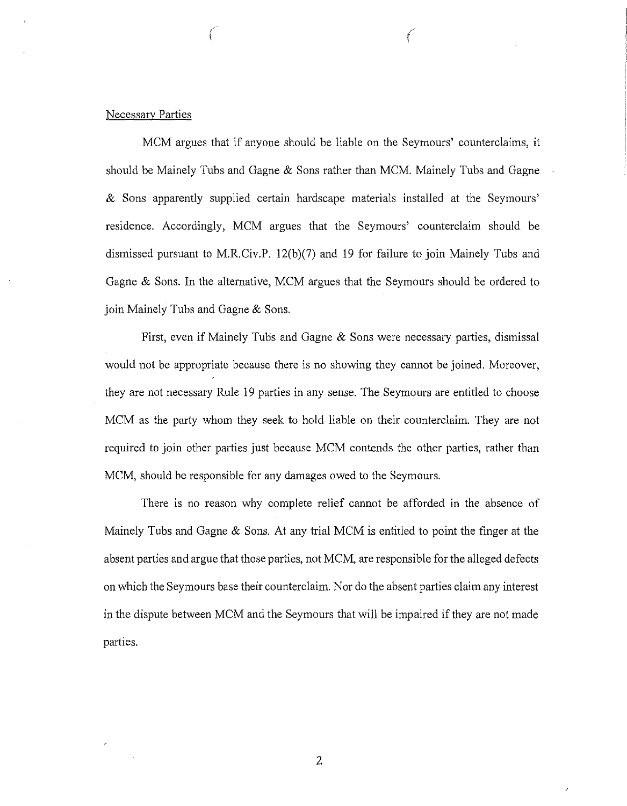## Necessary Parties

MCM argues that if anyone should be liable on the Seymours' counterclaims, it should be Mainely Tubs and Gagne & Sons rather than MCM. Mainely Tubs and Gagne & Sons apparently supplied certain hardscape materials installed at the Seymours' residence. Accordingly, MCM argues that the Seymours' counterclaim should be dismissed pursuant to M.R.Civ.P. 12(b)(7) and 19 for failure to join Mainely Tubs and Gagne & Sons. In the alternative, MCM argues that the Seymours should be ordered to join Mainely Tubs and Gagne & Sons.

*( (* 

First, even if Mainely Tubs and Gagne & Sons were necessary parties, dismissal would not be appropriate because there is no showing they cannot be joined. Moreover, they are not necessary Rule 19 parties in any sense. The Seymours are entitled to choose MCM as the party whom they seek to hold liable on their counterclaim. They are not required to join other parties just because MCM contends the other parties, rather than MCM, should be responsible for any damages owed to the Seymours.

There is no reason why complete relief cannot be afforded in the absence of Mainely Tubs and Gagne & Sons. At any trial MCM is entitled to point the finger at the absent parties and argue that those parties, not MCM, are responsible for the alleged defects on which the Seymours base their counterclaim. Nor do the absent parties claim any interest in the dispute between MCM and the Seymours that will be impaired if they are not made parties.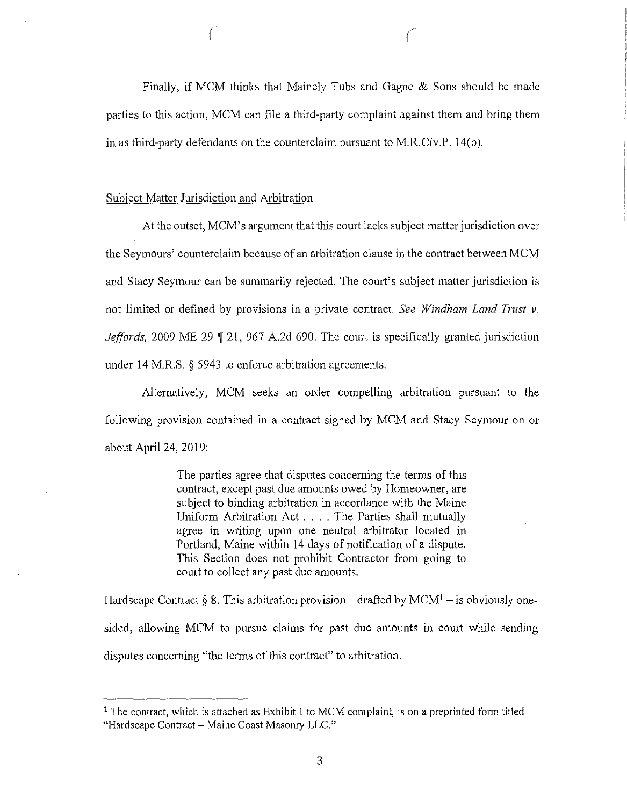Finally, if MCM thinks that Mainely Tubs and Gagne & Sons should be made parties to this action, MCM can file a third-party complaint against them and bring them in as third-party defendants on the counterclaim pursuant to M.R.Civ.P. 14(b).

#### Subject Matter Jurisdiction and Arbitration

*(* 

At the outset, MCM' s argument that this court lacks subject matter jurisdiction over the Seymours' counterclaim because of an arbitration clause in the contract between MCM and Stacy Seymour can be summarily rejected. The court's subject matter jurisdiction is not limited or defined by provisions in a private contract. *See Windham Land Trust* v. *Jeffords*, 2009 ME 29 | 21, 967 A.2d 690. The court is specifically granted jurisdiction under 14 M.R.S. § 5943 to enforce arbitration agreements.

Alternatively, MCM seeks an order compelling arbitration pursuant to the following provision contained in a contract signed by MCM and Stacy Seymour on or about April 24, 2019:

> The parties agree that disputes concerning the terms of this contract, except past due amounts owed by Homeowner, are subject to binding arbitration in accordance with the Maine Uniform Arbitration Act .... The Parties shall mutually agree in writing upon one neutral arbitrator located in Portland, Maine within 14 days of notification of a dispute. This Section does not prohibit Contractor from going to court to collect any past due amounts.

Hardscape Contract § 8. This arbitration provision – drafted by  $MCM<sup>1</sup>$  – is obviously onesided, allowing MCM to pursue claims for past due amounts in court while sending disputes concerning "the terms of this contract" to arbitration.

<sup>&</sup>lt;sup>1</sup> The contract, which is attached as Exhibit 1 to MCM complaint, is on a preprinted form titled "Hardscape Contract - Maine Coast Masonry LLC."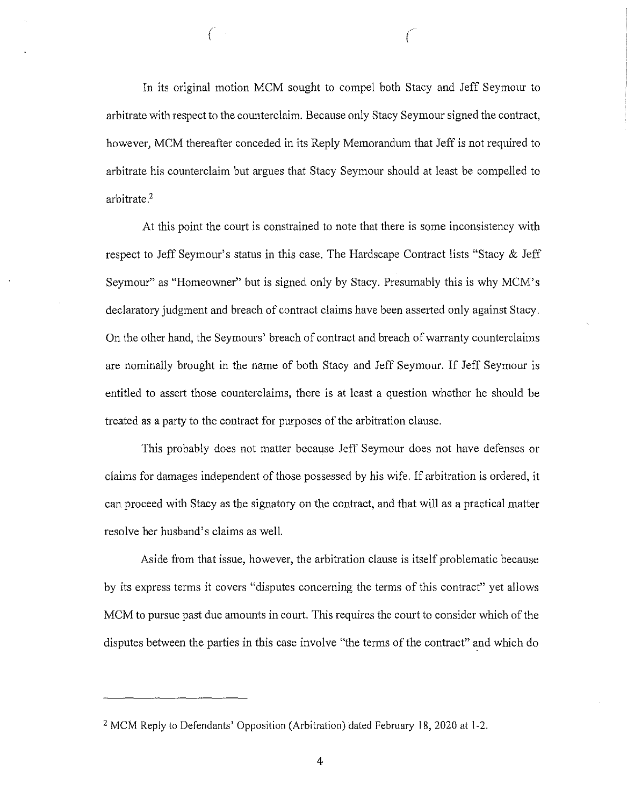In its original motion MCM sought to compel both Stacy and Jeff Seymour to arbitrate with respect to the counterclaim. Because only Stacy Seymour signed the contract, however, MCM thereafter conceded in its Reply Memorandum that Jeff is not required to arbitrate his counterclaim but argues that Stacy Seymour should at least be compelled to arbitrate.<sup>2</sup>

*( (* 

At this point the court is constrained to note that there is some inconsistency with respect to Jeff Seymour's status in this case. The Hardscape Contract lists "Stacy & Jeff Seymour" as "Homeowner" but is signed only by Stacy. Presumably this is why MCM's declaratory judgment and breach of contract claims have been asserted only against Stacy. On the other hand, the Seymours' breach of contract and breach of warranty counterclaims are nominally brought in the name of both Stacy and Jeff Seymour. If Jeff Seymour is entitled to assert those counterclaims, there is at least a question whether he should be treated as a party to the contract for purposes of the arbitration clause.

This probably does not matter because Jeff Seymour does not have defenses or claims for damages independent of those possessed by his wife. If arbitration is ordered, it can proceed with Stacy as the signatory on the contract, and that will as a practical matter resolve her husband's claims as well.

Aside from that issue, however, the arbitration clause is itself problematic because by its express terms it covers "disputes concerning the terms of this contract" yet allows MCM to pursue past due amounts in court. This requires the court to consider which of the disputes between the parties in this case involve "the terms of the contract" and which do

<sup>&</sup>lt;sup>2</sup> MCM Reply to Defendants' Opposition (Arbitration) dated February 18, 2020 at 1-2.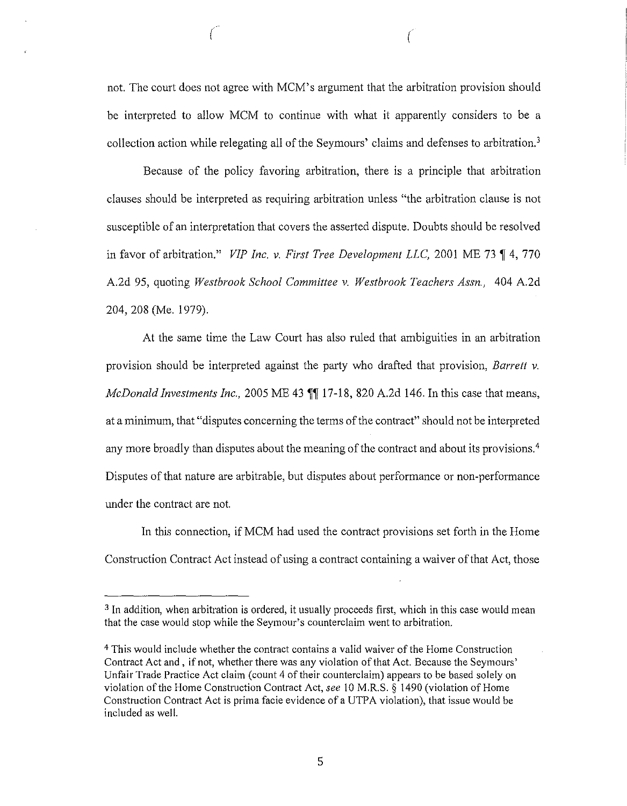not. The court does not agree with MCM's argument that the arbitration provision should be interpreted to allow MCM to continue with what it apparently considers to be a collection action while relegating all of the Seymours' claims and defenses to arbitration.<sup>3</sup>

 $\left($ 

Because of the policy favoring arbitration, there is a principle that arbitration clauses should be interpreted as requiring arbitration unless "the arbitration clause is not susceptible of an interpretation that covers the asserted dispute. Doubts should be resolved in favor of arbitration." *VIP Inc. v. First Tree Development LLC*, 2001 ME 73 ¶ 4, 770 A.2d 95, quoting *Westbrook School Committee v. Westbrook Teachers Assn.,* 404 A.2d 204, 208 (Me. 1979).

At the same time the Law Court has also ruled that ambiguities in an arbitration provision should be interpreted against the party who drafted that provision, *Barrett v. McDonald Investments Inc.,* 2005 ME 43 **11** 17-18, 820 A.2d 146. In this case that means, at a minimum, that "disputes concerning the terms of the contract" should not be interpreted any more broadly than disputes about the meaning of the contract and about its provisions.<sup>4</sup> Disputes of that nature are arbitrable, but disputes about performance or non-performance under the contract are not.

In this connection, if MCM had used the contract provisions set forth in the Home Construction Contract Act instead of using a contract containing a waiver of that Act, those

<sup>&</sup>lt;sup>3</sup> In addition, when arbitration is ordered, it usually proceeds first, which in this case would mean that the case would stop while the Seymour's counterclaim went to arbitration.

<sup>4</sup>This would include whether the contract contains a valid waiver of the Home Construction Contract Act and, if not, whether there was any violation of that Act. Because the Seymours' Unfair Trade Practice Act claim (count 4 of their counterclaim) appears to be based solely on violation of the Home Construction Contract Act, *see* 10 M.R.S. § 1490 (violation of Home Construction Contract Act is prima facie evidence of a UTPA violation), that issue would be included as well.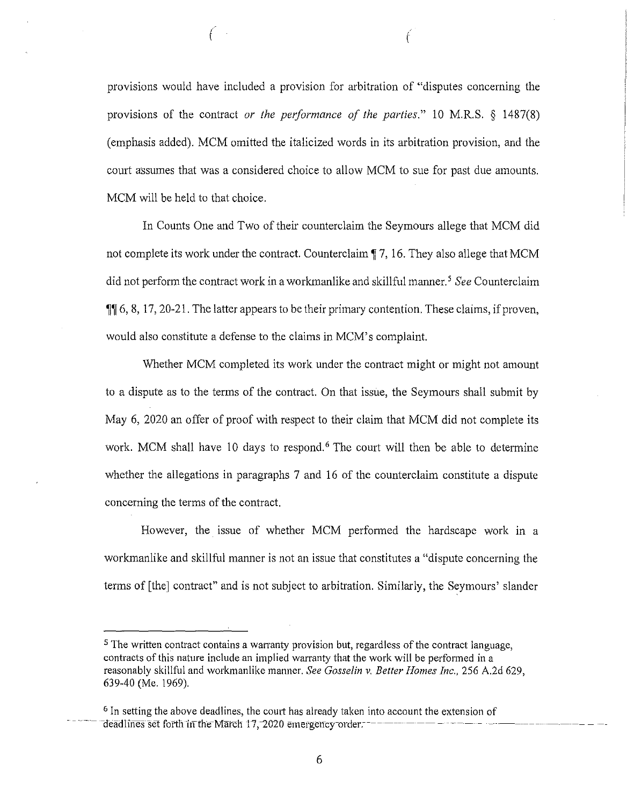provisions would have included a provision for arbitration of "disputes concerning the provisions of the contract *or the performance of the parties."* 10 M.R.S. § 1487(8) (emphasis added). MCM omitted the italicized words in its arbitration provision, and the court assumes that was a considered choice to allow MCM to sue for past due amounts. MCM will be held to that choice.

 $($  (and a set of  $($ 

In Counts One and Two of their counterclaim the Seymours allege that MCM did not complete its work under the contract. Counterclaim  $\P$  7, 16. They also allege that MCM did not perform the contract work in a workmanlike and skillful manner. 5 *See* Counterclaim  $\P$  6, 8, 17, 20-21. The latter appears to be their primary contention. These claims, if proven, would also constitute a defense to the claims in MCM's complaint.

Whether MCM completed its work under the contract might or might not amount to a dispute as to the terms of the contract. On that issue, the Seymours shall submit by May 6, 2020 an offer of proof with respect to their claim that MCM did not complete its work. MCM shall have 10 days to respond.<sup>6</sup> The court will then be able to determine whether the allegations in paragraphs 7 and 16 of the counterclaim constitute a dispute concerning the terms of the contract.

However, the issue of whether MCM performed the hardscape work in a workmanlike and skillful manner is not an issue that constitutes a "dispute concerning the terms of [the] contract" and is not subject to arbitration. Similarly, the Seymours' slander

6

 $<sup>5</sup>$  The written contract contains a warranty provision but, regardless of the contract language,</sup> contracts of this nature include an implied warranty that the work will be performed in a reasonably skillful and workmanlike manner. *See Gosselin* v. *Better Homes Inc.,* 256 A.2d 629, 639-40 (Me. 1969).

<sup>6</sup>In setting the above deadlines, the cou1t has already taken into account the extension of - - - -- -cfeadrfnesset fottl\ infhe-Matcn 17,-:!020 emergerrcy-order:------ ---- ---- - - ~--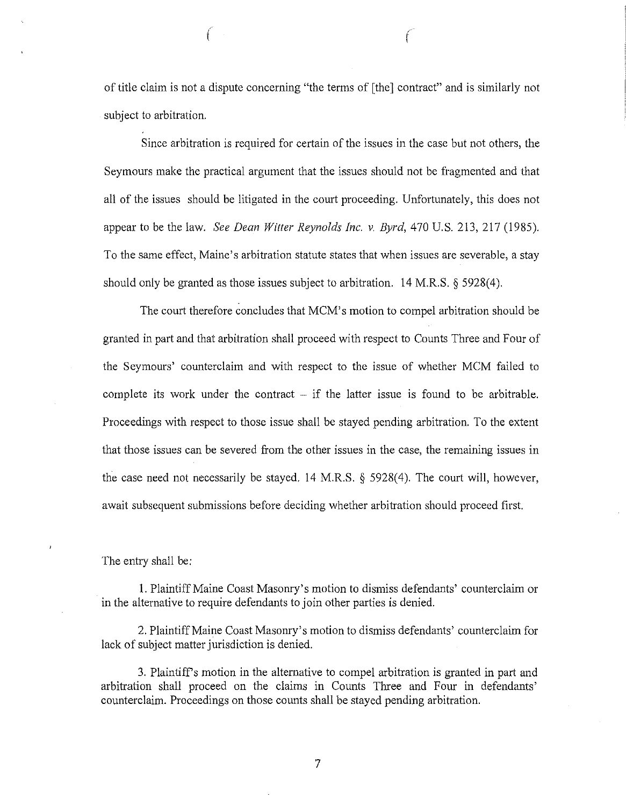of title claim is not a dispute concerning "the terms of [the] contract" and is similarly not subject to arbitration.

( *(* 

Since arbitration is required for certain of the issues in the case but not others, the Seymours make the practical argument that the issues should not be fragmented and that all of the issues should be litigated in the court proceeding. Unfortunately, this does not appear to be the law. *See Dean Witter Reynolds Inc. v. Byrd,* 470 U.S. 213, 217 ( 1985). To the same effect, Maine's arbitration statute states that when issues are severable, a stay should only be granted as those issues subject to arbitration. 14 M.R.S. § 5928(4).

The court therefore concludes that MCM's motion to compel arbitration should be granted in part and that arbitration shall proceed with respect to Counts Three and Four of the Seymours' counterclaim and with respect to the issue of whether MCM failed to complete its work under the contract  $-$  if the latter issue is found to be arbitrable. Proceedings with respect to those issue shall be stayed pending arbitration. To the extent that those issues can be severed from the other issues in the case, the remaining issues in the case need not necessarily be stayed. 14 M.R.S. § 5928(4). The court will, however, await subsequent submissions before deciding whether arbitration should proceed first.

The entry shall be;

1. Plaintiff Maine Coast Masonry's motion to dismiss defendants' counterclaim or in the alternative to require defendants to join other parties is denied.

2. Plaintiff Maine Coast Masonry's motion to dismiss defendants' counterclaim for lack of subject matter jurisdiction is denied.

3. Plaintiffs motion in the alternative to compel arbitration is granted in part and arbitration shall proceed on the claims in Counts Three and Four in defendants' counterclaim. Proceedings on those counts shall be stayed pending arbitration.

7